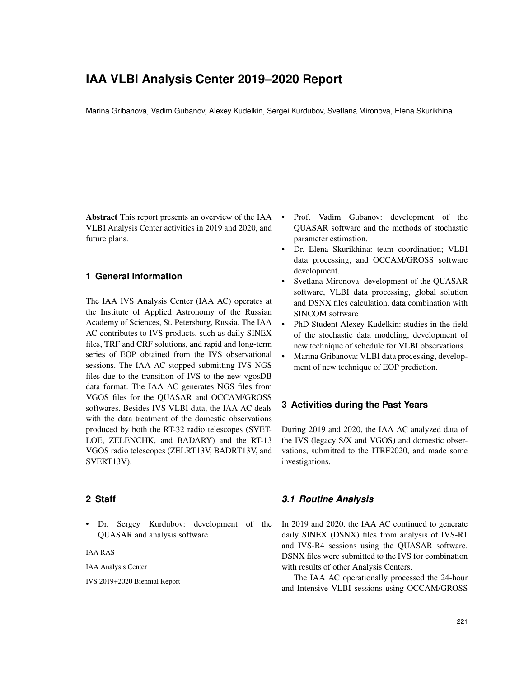# **IAA VLBI Analysis Center 2019–2020 Report**

Marina Gribanova, Vadim Gubanov, Alexey Kudelkin, Sergei Kurdubov, Svetlana Mironova, Elena Skurikhina

Abstract This report presents an overview of the IAA VLBI Analysis Center activities in 2019 and 2020, and future plans.

# **1 General Information**

The IAA IVS Analysis Center (IAA AC) operates at the Institute of Applied Astronomy of the Russian Academy of Sciences, St. Petersburg, Russia. The IAA AC contributes to IVS products, such as daily SINEX files, TRF and CRF solutions, and rapid and long-term series of EOP obtained from the IVS observational sessions. The IAA AC stopped submitting IVS NGS files due to the transition of IVS to the new vgosDB data format. The IAA AC generates NGS files from VGOS files for the QUASAR and OCCAM/GROSS softwares. Besides IVS VLBI data, the IAA AC deals with the data treatment of the domestic observations produced by both the RT-32 radio telescopes (SVET-LOE, ZELENCHK, and BADARY) and the RT-13 VGOS radio telescopes (ZELRT13V, BADRT13V, and SVERT13V).

#### **2 Staff**

• Dr. Sergey Kurdubov: development of the QUASAR and analysis software.

IAA RAS

IAA Analysis Center

IVS 2019+2020 Biennial Report

- Prof. Vadim Gubanov: development of the QUASAR software and the methods of stochastic parameter estimation.
- Dr. Elena Skurikhina: team coordination; VLBI data processing, and OCCAM/GROSS software development.
- Svetlana Mironova: development of the QUASAR software, VLBI data processing, global solution and DSNX files calculation, data combination with SINCOM software
- PhD Student Alexey Kudelkin: studies in the field of the stochastic data modeling, development of new technique of schedule for VLBI observations.
- Marina Gribanova: VLBI data processing, development of new technique of EOP prediction.

# **3 Activities during the Past Years**

During 2019 and 2020, the IAA AC analyzed data of the IVS (legacy S/X and VGOS) and domestic observations, submitted to the ITRF2020, and made some investigations.

# *3.1 Routine Analysis*

In 2019 and 2020, the IAA AC continued to generate daily SINEX (DSNX) files from analysis of IVS-R1 and IVS-R4 sessions using the QUASAR software. DSNX files were submitted to the IVS for combination with results of other Analysis Centers.

The IAA AC operationally processed the 24-hour and Intensive VLBI sessions using OCCAM/GROSS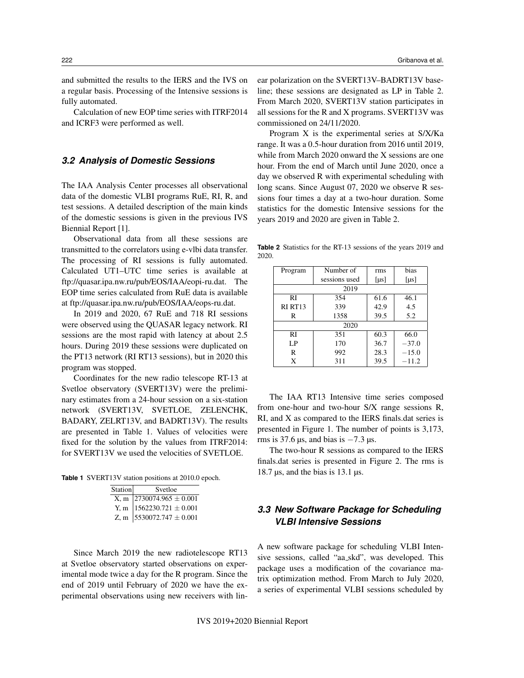and submitted the results to the IERS and the IVS on a regular basis. Processing of the Intensive sessions is fully automated.

Calculation of new EOP time series with ITRF2014 and ICRF3 were performed as well.

#### *3.2 Analysis of Domestic Sessions*

The IAA Analysis Center processes all observational data of the domestic VLBI programs RuE, RI, R, and test sessions. A detailed description of the main kinds of the domestic sessions is given in the previous IVS Biennial Report [1].

Observational data from all these sessions are transmitted to the correlators using e-vlbi data transfer. The processing of RI sessions is fully automated. Calculated UT1–UTC time series is available at ftp://quasar.ipa.nw.ru/pub/EOS/IAA/eopi-ru.dat. The EOP time series calculated from RuE data is available at ftp://quasar.ipa.nw.ru/pub/EOS/IAA/eops-ru.dat.

In 2019 and 2020, 67 RuE and 718 RI sessions were observed using the QUASAR legacy network. RI sessions are the most rapid with latency at about 2.5 hours. During 2019 these sessions were duplicated on the PT13 network (RI RT13 sessions), but in 2020 this program was stopped.

Coordinates for the new radio telescope RT-13 at Svetloe observatory (SVERT13V) were the preliminary estimates from a 24-hour session on a six-station network (SVERT13V, SVETLOE, ZELENCHK, BADARY, ZELRT13V, and BADRT13V). The results are presented in Table 1. Values of velocities were fixed for the solution by the values from ITRF2014: for SVERT13V we used the velocities of SVETLOE.

**Table 1** SVERT13V station positions at 2010.0 epoch.

| Station | Svetloe                                                                                         |  |
|---------|-------------------------------------------------------------------------------------------------|--|
|         |                                                                                                 |  |
|         | $\begin{array}{c c}\nX, m & 2730074.965 \pm 0.001 \\ Y, m & 1562230.721 \pm 0.001\n\end{array}$ |  |
|         | Z, m $5530072.747 \pm 0.001$                                                                    |  |

Since March 2019 the new radiotelescope RT13 at Svetloe observatory started observations on experimental mode twice a day for the R program. Since the end of 2019 until February of 2020 we have the experimental observations using new receivers with linear polarization on the SVERT13V–BADRT13V baseline; these sessions are designated as LP in Table 2. From March 2020, SVERT13V station participates in all sessions for the R and X programs. SVERT13V was commissioned on 24/11/2020.

Program X is the experimental series at S/X/Ka range. It was a 0.5-hour duration from 2016 until 2019, while from March 2020 onward the X sessions are one hour. From the end of March until June 2020, once a day we observed R with experimental scheduling with long scans. Since August 07, 2020 we observe R sessions four times a day at a two-hour duration. Some statistics for the domestic Intensive sessions for the years 2019 and 2020 are given in Table 2.

**Table 2** Statistics for the RT-13 sessions of the years 2019 and 2020.

| Program             | Number of     | rms        | bias       |  |
|---------------------|---------------|------------|------------|--|
|                     | sessions used | [ $\mu$ s] | [ $\mu$ s] |  |
| 2019                |               |            |            |  |
| RI                  | 354           | 61.6       | 46.1       |  |
| RI RT <sub>13</sub> | 339           | 42.9       | 4.5        |  |
| R                   | 1358          | 39.5       | 5.2        |  |
| 2020                |               |            |            |  |
| RI                  | 351           | 60.3       | 66.0       |  |
| LP                  | 170           | 36.7       | $-37.0$    |  |
| R                   | 992           | 28.3       | $-15.0$    |  |
| X                   | 311           | 39.5       | $-11.2$    |  |

The IAA RT13 Intensive time series composed from one-hour and two-hour S/X range sessions R, RI, and X as compared to the IERS finals.dat series is presented in Figure 1. The number of points is 3,173, rms is 37.6  $\mu$ s, and bias is  $-7.3 \mu$ s.

The two-hour R sessions as compared to the IERS finals.dat series is presented in Figure 2. The rms is 18.7  $\mu$ s, and the bias is 13.1  $\mu$ s.

# *3.3 New Software Package for Scheduling VLBI Intensive Sessions*

A new software package for scheduling VLBI Intensive sessions, called "aa skd", was developed. This package uses a modification of the covariance matrix optimization method. From March to July 2020, a series of experimental VLBI sessions scheduled by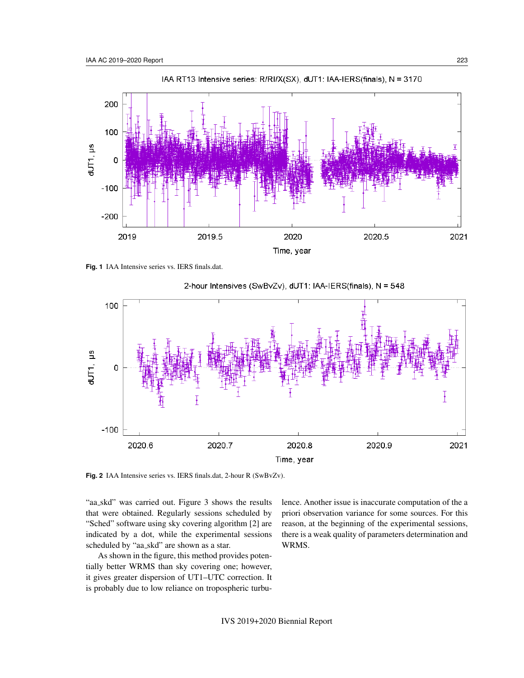

**Fig. 1** IAA Intensive series vs. IERS finals.dat.



2-hour Intensives (SwBvZv), dUT1: IAA-IERS(finals), N = 548

**Fig. 2** IAA Intensive series vs. IERS finals.dat, 2-hour R (SwBvZv).

"aa skd" was carried out. Figure 3 shows the results that were obtained. Regularly sessions scheduled by "Sched" software using sky covering algorithm [2] are indicated by a dot, while the experimental sessions scheduled by "aa skd" are shown as a star.

As shown in the figure, this method provides potentially better WRMS than sky covering one; however, it gives greater dispersion of UT1–UTC correction. It is probably due to low reliance on tropospheric turbu-

lence. Another issue is inaccurate computation of the a priori observation variance for some sources. For this reason, at the beginning of the experimental sessions, there is a weak quality of parameters determination and WRMS.